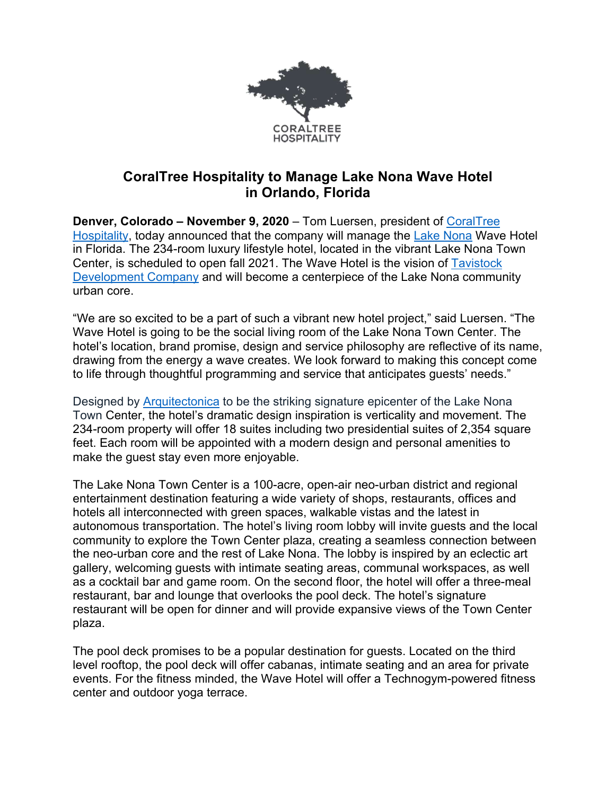

## **CoralTree Hospitality to Manage Lake Nona Wave Hotel in Orlando, Florida**

**Denver, Colorado – November 9, 2020** – Tom Luersen, president of CoralTree Hospitality, today announced that the company will manage the Lake Nona Wave Hotel in Florida. The 234-room luxury lifestyle hotel, located in the vibrant Lake Nona Town Center, is scheduled to open fall 2021. The Wave Hotel is the vision of Tavistock Development Company and will become a centerpiece of the Lake Nona community urban core.

"We are so excited to be a part of such a vibrant new hotel project," said Luersen. "The Wave Hotel is going to be the social living room of the Lake Nona Town Center. The hotel's location, brand promise, design and service philosophy are reflective of its name, drawing from the energy a wave creates. We look forward to making this concept come to life through thoughtful programming and service that anticipates guests' needs."

Designed by Arquitectonica to be the striking signature epicenter of the Lake Nona Town Center, the hotel's dramatic design inspiration is verticality and movement. The 234-room property will offer 18 suites including two presidential suites of 2,354 square feet. Each room will be appointed with a modern design and personal amenities to make the guest stay even more enjoyable.

The Lake Nona Town Center is a 100-acre, open-air neo-urban district and regional entertainment destination featuring a wide variety of shops, restaurants, offices and hotels all interconnected with green spaces, walkable vistas and the latest in autonomous transportation. The hotel's living room lobby will invite guests and the local community to explore the Town Center plaza, creating a seamless connection between the neo-urban core and the rest of Lake Nona. The lobby is inspired by an eclectic art gallery, welcoming guests with intimate seating areas, communal workspaces, as well as a cocktail bar and game room. On the second floor, the hotel will offer a three-meal restaurant, bar and lounge that overlooks the pool deck. The hotel's signature restaurant will be open for dinner and will provide expansive views of the Town Center plaza.

The pool deck promises to be a popular destination for guests. Located on the third level rooftop, the pool deck will offer cabanas, intimate seating and an area for private events. For the fitness minded, the Wave Hotel will offer a Technogym-powered fitness center and outdoor yoga terrace.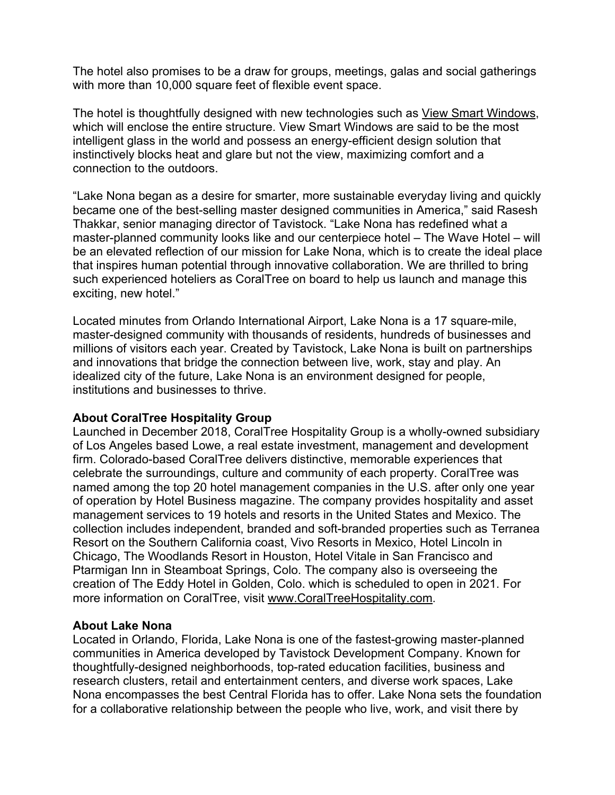The hotel also promises to be a draw for groups, meetings, galas and social gatherings with more than 10,000 square feet of flexible event space.

The hotel is thoughtfully designed with new technologies such as View Smart Windows, which will enclose the entire structure. View Smart Windows are said to be the most intelligent glass in the world and possess an energy-efficient design solution that instinctively blocks heat and glare but not the view, maximizing comfort and a connection to the outdoors.

"Lake Nona began as a desire for smarter, more sustainable everyday living and quickly became one of the best-selling master designed communities in America," said Rasesh Thakkar, senior managing director of Tavistock. "Lake Nona has redefined what a master-planned community looks like and our centerpiece hotel – The Wave Hotel – will be an elevated reflection of our mission for Lake Nona, which is to create the ideal place that inspires human potential through innovative collaboration. We are thrilled to bring such experienced hoteliers as CoralTree on board to help us launch and manage this exciting, new hotel."

Located minutes from Orlando International Airport, Lake Nona is a 17 square-mile, master-designed community with thousands of residents, hundreds of businesses and millions of visitors each year. Created by Tavistock, Lake Nona is built on partnerships and innovations that bridge the connection between live, work, stay and play. An idealized city of the future, Lake Nona is an environment designed for people, institutions and businesses to thrive.

## **About CoralTree Hospitality Group**

Launched in December 2018, CoralTree Hospitality Group is a wholly-owned subsidiary of Los Angeles based Lowe, a real estate investment, management and development firm. Colorado-based CoralTree delivers distinctive, memorable experiences that celebrate the surroundings, culture and community of each property. CoralTree was named among the top 20 hotel management companies in the U.S. after only one year of operation by Hotel Business magazine. The company provides hospitality and asset management services to 19 hotels and resorts in the United States and Mexico. The collection includes independent, branded and soft-branded properties such as Terranea Resort on the Southern California coast, Vivo Resorts in Mexico, Hotel Lincoln in Chicago, The Woodlands Resort in Houston, Hotel Vitale in San Francisco and Ptarmigan Inn in Steamboat Springs, Colo. The company also is overseeing the creation of The Eddy Hotel in Golden, Colo. which is scheduled to open in 2021. For more information on CoralTree, visit www.CoralTreeHospitality.com.

## **About Lake Nona**

Located in Orlando, Florida, Lake Nona is one of the fastest-growing master-planned communities in America developed by Tavistock Development Company. Known for thoughtfully-designed neighborhoods, top-rated education facilities, business and research clusters, retail and entertainment centers, and diverse work spaces, Lake Nona encompasses the best Central Florida has to offer. Lake Nona sets the foundation for a collaborative relationship between the people who live, work, and visit there by